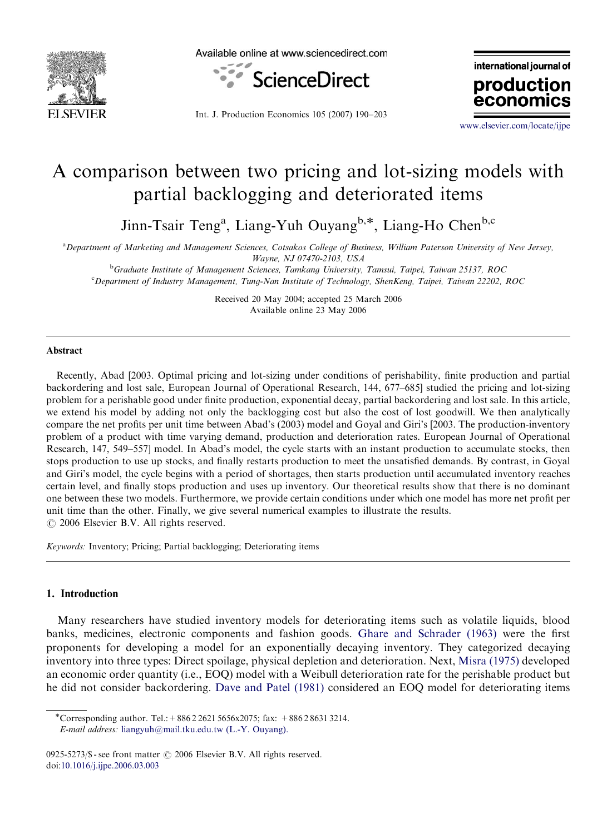



international journal of production

Int. J. Production Economics 105 (2007) 190–203

<www.elsevier.com/locate/ijpe>

econ

# A comparison between two pricing and lot-sizing models with partial backlogging and deteriorated items

Jinn-Tsair Teng<sup>a</sup>, Liang-Yuh Ouyang<sup>b,\*</sup>, Liang-Ho Chen<sup>b,c</sup>

a Department of Marketing and Management Sciences, Cotsakos College of Business, William Paterson University of New Jersey, Wayne, NJ 07470-2103, USA

<sup>b</sup>Graduate Institute of Management Sciences, Tamkang University, Tamsui, Taipei, Taiwan 25137, ROC

c Department of Industry Management, Tung-Nan Institute of Technology, ShenKeng, Taipei, Taiwan 22202, ROC

Received 20 May 2004; accepted 25 March 2006 Available online 23 May 2006

#### Abstract

Recently, Abad [2003. Optimal pricing and lot-sizing under conditions of perishability, finite production and partial backordering and lost sale, European Journal of Operational Research, 144, 677–685] studied the pricing and lot-sizing problem for a perishable good under finite production, exponential decay, partial backordering and lost sale. In this article, we extend his model by adding not only the backlogging cost but also the cost of lost goodwill. We then analytically compare the net profits per unit time between Abad's (2003) model and Goyal and Giri's [2003. The production-inventory problem of a product with time varying demand, production and deterioration rates. European Journal of Operational Research, 147, 549–557] model. In Abad's model, the cycle starts with an instant production to accumulate stocks, then stops production to use up stocks, and finally restarts production to meet the unsatisfied demands. By contrast, in Goyal and Giri's model, the cycle begins with a period of shortages, then starts production until accumulated inventory reaches certain level, and finally stops production and uses up inventory. Our theoretical results show that there is no dominant one between these two models. Furthermore, we provide certain conditions under which one model has more net profit per unit time than the other. Finally, we give several numerical examples to illustrate the results.  $\odot$  2006 Elsevier B.V. All rights reserved.

Keywords: Inventory; Pricing; Partial backlogging; Deteriorating items

#### 1. Introduction

Many researchers have studied inventory models for deteriorating items such as volatile liquids, blood banks, medicines, electronic components and fashion goods. [Ghare and Schrader \(1963\)](#page-13-0) were the first proponents for developing a model for an exponentially decaying inventory. They categorized decaying inventory into three types: Direct spoilage, physical depletion and deterioration. Next, [Misra \(1975\)](#page-13-0) developed an economic order quantity (i.e., EOQ) model with a Weibull deterioration rate for the perishable product but he did not consider backordering. [Dave and Patel \(1981\)](#page-13-0) considered an EOQ model for deteriorating items

<sup>\*</sup>Corresponding author. Tel.: +  $886\,2\,2621\,5656x\,2075$ ; fax: +  $886\,2\,8631\,3214$ . E-mail address: [liangyuh@mail.tku.edu.tw \(L.-Y. Ouyang\).](mailto:liangyuh@mail.tku.edu.tw)

<sup>0925-5273/\$ -</sup> see front matter  $\odot$  2006 Elsevier B.V. All rights reserved. doi[:10.1016/j.ijpe.2006.03.003](dx.doi.org/10.1016/j.ijpe.2006.03.003)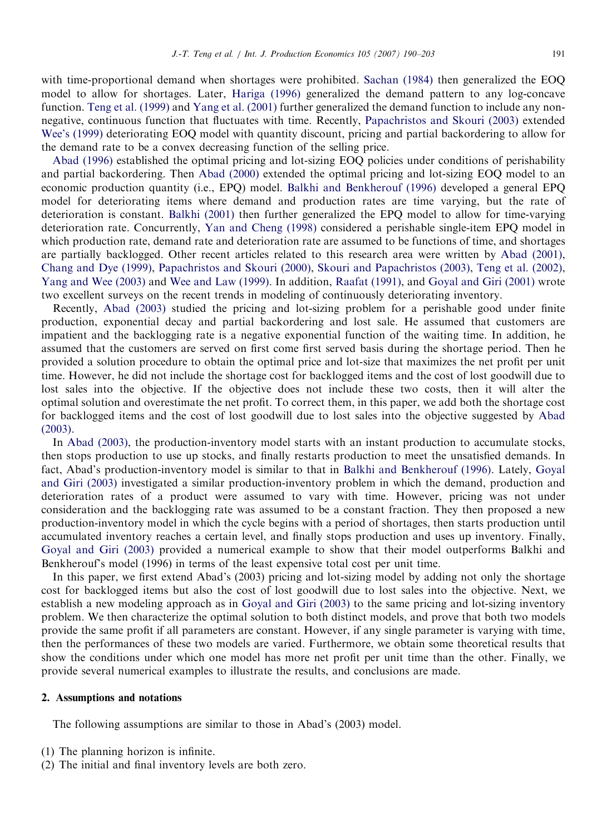with time-proportional demand when shortages were prohibited. [Sachan \(1984\)](#page-13-0) then generalized the EOQ model to allow for shortages. Later, [Hariga \(1996\)](#page-13-0) generalized the demand pattern to any log-concave function. [Teng et al. \(1999\)](#page-13-0) and [Yang et al. \(2001\)](#page-13-0) further generalized the demand function to include any nonnegative, continuous function that fluctuates with time. Recently, [Papachristos and Skouri \(2003\)](#page-13-0) extended [Wee's \(1999\)](#page-13-0) deteriorating EOQ model with quantity discount, pricing and partial backordering to allow for the demand rate to be a convex decreasing function of the selling price.

[Abad \(1996\)](#page-12-0) established the optimal pricing and lot-sizing EOQ policies under conditions of perishability and partial backordering. Then [Abad \(2000\)](#page-13-0) extended the optimal pricing and lot-sizing EOQ model to an economic production quantity (i.e., EPQ) model. [Balkhi and Benkherouf \(1996\)](#page-13-0) developed a general EPQ model for deteriorating items where demand and production rates are time varying, but the rate of deterioration is constant. [Balkhi \(2001\)](#page-13-0) then further generalized the EPQ model to allow for time-varying deterioration rate. Concurrently, [Yan and Cheng \(1998\)](#page-13-0) considered a perishable single-item EPQ model in which production rate, demand rate and deterioration rate are assumed to be functions of time, and shortages are partially backlogged. Other recent articles related to this research area were written by [Abad \(2001\)](#page-13-0), [Chang and Dye \(1999\)](#page-13-0), [Papachristos and Skouri \(2000\),](#page-13-0) [Skouri and Papachristos \(2003\)](#page-13-0), [Teng et al. \(2002\)](#page-13-0), [Yang and Wee \(2003\)](#page-13-0) and [Wee and Law \(1999\)](#page-13-0). In addition, [Raafat \(1991\)](#page-13-0), and [Goyal and Giri \(2001\)](#page-13-0) wrote two excellent surveys on the recent trends in modeling of continuously deteriorating inventory.

Recently, [Abad \(2003\)](#page-13-0) studied the pricing and lot-sizing problem for a perishable good under finite production, exponential decay and partial backordering and lost sale. He assumed that customers are impatient and the backlogging rate is a negative exponential function of the waiting time. In addition, he assumed that the customers are served on first come first served basis during the shortage period. Then he provided a solution procedure to obtain the optimal price and lot-size that maximizes the net profit per unit time. However, he did not include the shortage cost for backlogged items and the cost of lost goodwill due to lost sales into the objective. If the objective does not include these two costs, then it will alter the optimal solution and overestimate the net profit. To correct them, in this paper, we add both the shortage cost for backlogged items and the cost of lost goodwill due to lost sales into the objective suggested by [Abad](#page-13-0) [\(2003\)](#page-13-0).

In [Abad \(2003\),](#page-13-0) the production-inventory model starts with an instant production to accumulate stocks, then stops production to use up stocks, and finally restarts production to meet the unsatisfied demands. In fact, Abad's production-inventory model is similar to that in [Balkhi and Benkherouf \(1996\)](#page-13-0). Lately, [Goyal](#page-13-0) [and Giri \(2003\)](#page-13-0) investigated a similar production-inventory problem in which the demand, production and deterioration rates of a product were assumed to vary with time. However, pricing was not under consideration and the backlogging rate was assumed to be a constant fraction. They then proposed a new production-inventory model in which the cycle begins with a period of shortages, then starts production until accumulated inventory reaches a certain level, and finally stops production and uses up inventory. Finally, [Goyal and Giri \(2003\)](#page-13-0) provided a numerical example to show that their model outperforms Balkhi and Benkherouf's model (1996) in terms of the least expensive total cost per unit time.

In this paper, we first extend Abad's (2003) pricing and lot-sizing model by adding not only the shortage cost for backlogged items but also the cost of lost goodwill due to lost sales into the objective. Next, we establish a new modeling approach as in [Goyal and Giri \(2003\)](#page-13-0) to the same pricing and lot-sizing inventory problem. We then characterize the optimal solution to both distinct models, and prove that both two models provide the same profit if all parameters are constant. However, if any single parameter is varying with time, then the performances of these two models are varied. Furthermore, we obtain some theoretical results that show the conditions under which one model has more net profit per unit time than the other. Finally, we provide several numerical examples to illustrate the results, and conclusions are made.

#### 2. Assumptions and notations

The following assumptions are similar to those in Abad's (2003) model.

- (1) The planning horizon is infinite.
- (2) The initial and final inventory levels are both zero.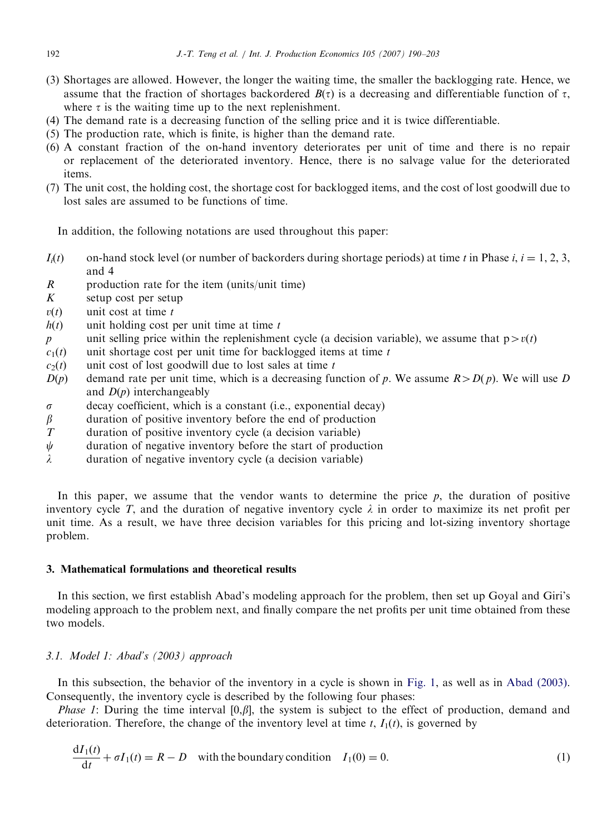- (3) Shortages are allowed. However, the longer the waiting time, the smaller the backlogging rate. Hence, we assume that the fraction of shortages backordered  $B(\tau)$  is a decreasing and differentiable function of  $\tau$ , where  $\tau$  is the waiting time up to the next replenishment.
- (4) The demand rate is a decreasing function of the selling price and it is twice differentiable.
- (5) The production rate, which is finite, is higher than the demand rate.
- (6) A constant fraction of the on-hand inventory deteriorates per unit of time and there is no repair or replacement of the deteriorated inventory. Hence, there is no salvage value for the deteriorated items.
- (7) The unit cost, the holding cost, the shortage cost for backlogged items, and the cost of lost goodwill due to lost sales are assumed to be functions of time.

In addition, the following notations are used throughout this paper:

- $I_i(t)$  on-hand stock level (or number of backorders during shortage periods) at time t in Phase i,  $i = 1, 2, 3$ , and 4
- $R$  production rate for the item (units/unit time)
- $K$  setup cost per setup
- $v(t)$  unit cost at time t
- $h(t)$  unit holding cost per unit time at time t
- p unit selling price within the replenishment cycle (a decision variable), we assume that  $p > v(t)$
- $c_1(t)$  unit shortage cost per unit time for backlogged items at time t  $c_2(t)$  unit cost of lost goodwill due to lost sales at time t
- unit cost of lost goodwill due to lost sales at time  $t$
- $D(p)$  demand rate per unit time, which is a decreasing function of p. We assume  $R > D(p)$ . We will use D and  $D(p)$  interchangeably
- $\sigma$  decay coefficient, which is a constant (i.e., exponential decay)
- $\beta$  duration of positive inventory before the end of production
- T duration of positive inventory cycle (a decision variable)
- $\psi$  duration of negative inventory before the start of production
- $\lambda$  duration of negative inventory cycle (a decision variable)

In this paper, we assume that the vendor wants to determine the price  $p$ , the duration of positive inventory cycle T, and the duration of negative inventory cycle  $\lambda$  in order to maximize its net profit per unit time. As a result, we have three decision variables for this pricing and lot-sizing inventory shortage problem.

#### 3. Mathematical formulations and theoretical results

In this section, we first establish Abad's modeling approach for the problem, then set up Goyal and Giri's modeling approach to the problem next, and finally compare the net profits per unit time obtained from these two models.

#### 3.1. Model 1: Abad's (2003) approach

In this subsection, the behavior of the inventory in a cycle is shown in [Fig. 1,](#page-3-0) as well as in [Abad \(2003\).](#page-13-0) Consequently, the inventory cycle is described by the following four phases:

*Phase 1*: During the time interval [0, $\beta$ ], the system is subject to the effect of production, demand and deterioration. Therefore, the change of the inventory level at time t,  $I_1(t)$ , is governed by

$$
\frac{dI_1(t)}{dt} + \sigma I_1(t) = R - D
$$
 with the boundary condition  $I_1(0) = 0.$  (1)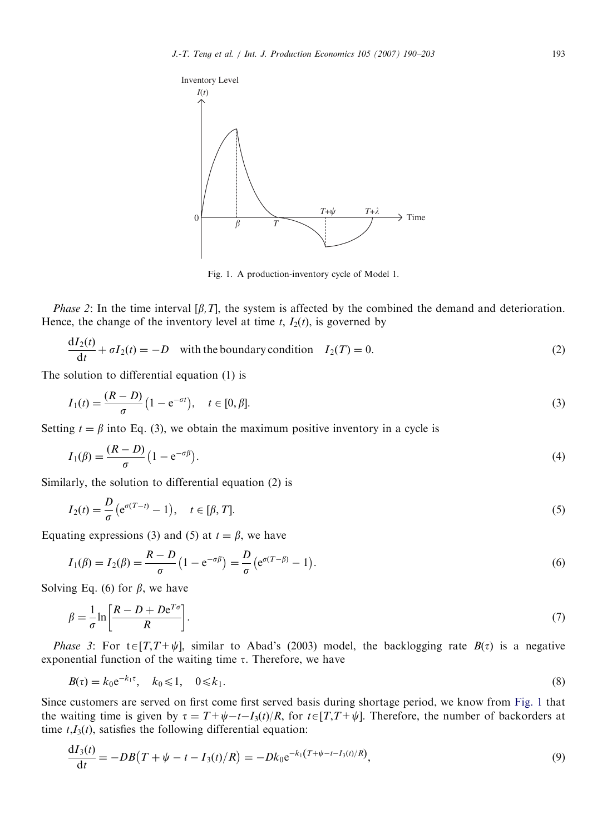<span id="page-3-0"></span>

Fig. 1. A production-inventory cycle of Model 1.

*Phase 2*: In the time interval  $[\beta, T]$ , the system is affected by the combined the demand and deterioration. Hence, the change of the inventory level at time  $t$ ,  $I_2(t)$ , is governed by

$$
\frac{dI_2(t)}{dt} + \sigma I_2(t) = -D
$$
 with the boundary condition  $I_2(T) = 0.$  (2)

The solution to differential equation (1) is

$$
I_1(t) = \frac{(R - D)}{\sigma} (1 - e^{-\sigma t}), \quad t \in [0, \beta].
$$
\n(3)

Setting  $t = \beta$  into Eq. (3), we obtain the maximum positive inventory in a cycle is

$$
I_1(\beta) = \frac{(R-D)}{\sigma} \left(1 - e^{-\sigma \beta}\right). \tag{4}
$$

Similarly, the solution to differential equation (2) is

$$
I_2(t) = \frac{D}{\sigma} \left( e^{\sigma(T-t)} - 1 \right), \quad t \in [\beta, T]. \tag{5}
$$

Equating expressions (3) and (5) at  $t = \beta$ , we have

$$
I_1(\beta) = I_2(\beta) = \frac{R - D}{\sigma} \left( 1 - e^{-\sigma \beta} \right) = \frac{D}{\sigma} \left( e^{\sigma (T - \beta)} - 1 \right).
$$
 (6)

Solving Eq. (6) for  $\beta$ , we have

$$
\beta = \frac{1}{\sigma} \ln \left[ \frac{R - D + D e^{T\sigma}}{R} \right].
$$
\n(7)

*Phase 3*: For t $\epsilon[T,T+\psi]$ , similar to Abad's (2003) model, the backlogging rate  $B(\tau)$  is a negative exponential function of the waiting time  $\tau$ . Therefore, we have

$$
B(\tau) = k_0 e^{-k_1 \tau}, \quad k_0 \leq 1, \quad 0 \leq k_1.
$$
 (8)

Since customers are served on first come first served basis during shortage period, we know from Fig. 1 that the waiting time is given by  $\tau = T + \psi - t - I_3(t)/R$ , for  $t \in [T, T + \psi]$ . Therefore, the number of backorders at time  $t, I_3(t)$ , satisfies the following differential equation:

$$
\frac{dI_3(t)}{dt} = -DB(T + \psi - t - I_3(t)/R) = -Dk_0 e^{-k_1(T + \psi - t - I_3(t)/R)},
$$
\n(9)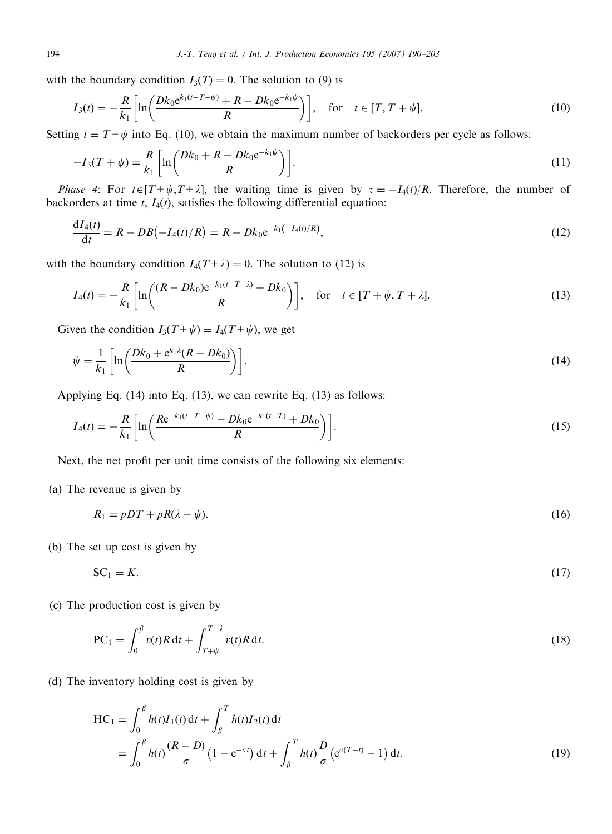with the boundary condition  $I_3(T) = 0$ . The solution to (9) is

$$
I_3(t) = -\frac{R}{k_1} \left[ \ln \left( \frac{Dk_0 e^{k_1(t - T - \psi)} + R - Dk_0 e^{-k_1 \psi}}{R} \right) \right], \quad \text{for} \quad t \in [T, T + \psi]. \tag{10}
$$

Setting  $t = T + \psi$  into Eq. (10), we obtain the maximum number of backorders per cycle as follows:

$$
-I_3(T + \psi) = \frac{R}{k_1} \left[ \ln \left( \frac{Dk_0 + R - Dk_0 e^{-k_1 \psi}}{R} \right) \right].
$$
 (11)

Phase 4: For  $t \in [T+\psi,T+\lambda]$ , the waiting time is given by  $\tau = -I_4(t)/R$ . Therefore, the number of backorders at time  $t$ ,  $I_4(t)$ , satisfies the following differential equation:

$$
\frac{dI_4(t)}{dt} = R - DB(-I_4(t)/R) = R - Dk_0 e^{-k_1(-I_4(t)/R)},
$$
\n(12)

with the boundary condition  $I_4(T+\lambda) = 0$ . The solution to (12) is

$$
I_4(t) = -\frac{R}{k_1} \left[ \ln \left( \frac{(R - Dk_0)e^{-k_1(t - T - \lambda)} + Dk_0}{R} \right) \right], \quad \text{for} \quad t \in [T + \psi, T + \lambda]. \tag{13}
$$

Given the condition  $I_3(T+\psi) = I_4(T+\psi)$ , we get

$$
\psi = \frac{1}{k_1} \left[ \ln \left( \frac{Dk_0 + e^{k_1 \lambda} (R - Dk_0)}{R} \right) \right].
$$
\n(14)

Applying Eq. (14) into Eq. (13), we can rewrite Eq. (13) as follows:

$$
I_4(t) = -\frac{R}{k_1} \left[ \ln \left( \frac{R e^{-k_1(t - T - \psi)} - D k_0 e^{-k_1(t - T)} + D k_0}{R} \right) \right].
$$
\n(15)

Next, the net profit per unit time consists of the following six elements:

(a) The revenue is given by

 $R_1 = pDT + pR(\lambda - \psi).$  (16)

(b) The set up cost is given by

$$
SC_1 = K.\tag{17}
$$

(c) The production cost is given by

$$
PC_1 = \int_0^\beta v(t)R dt + \int_{T+\psi}^{T+\lambda} v(t)R dt.
$$
\n(18)

(d) The inventory holding cost is given by

$$
HC_1 = \int_0^\beta h(t)I_1(t) dt + \int_\beta^T h(t)I_2(t) dt
$$
  
= 
$$
\int_0^\beta h(t) \frac{(R-D)}{\sigma} (1 - e^{-\sigma t}) dt + \int_\beta^T h(t) \frac{D}{\sigma} (e^{\sigma(T-t)} - 1) dt.
$$
 (19)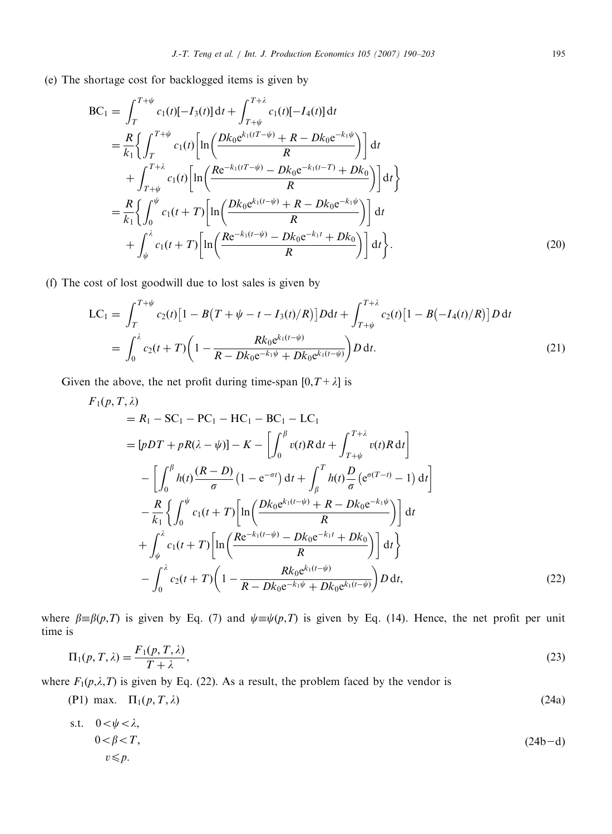(e) The shortage cost for backlogged items is given by

$$
BC_{1} = \int_{T}^{T+\psi} c_{1}(t)[-I_{3}(t)] dt + \int_{T+\psi}^{T+\lambda} c_{1}(t)[-I_{4}(t)] dt
$$
  
\n
$$
= \frac{R}{k_{1}} \Biggl\{ \int_{T}^{T+\psi} c_{1}(t) \Biggl[ \ln \Biggl( \frac{Dk_{0}e^{k_{1}(tT-\psi)} + R - Dk_{0}e^{-k_{1}\psi}}{R} \Biggr) \Biggr] dt + \int_{T+\psi}^{T+\lambda} c_{1}(t) \Biggl[ \ln \Biggl( \frac{Re^{-k_{1}(tT-\psi)} - Dk_{0}e^{-k_{1}(t-T)} + Dk_{0}}{R} \Biggr) \Biggr] dt \Biggr\}
$$
  
\n
$$
= \frac{R}{k_{1}} \Biggl\{ \int_{0}^{\psi} c_{1}(t+T) \Biggl[ \ln \Biggl( \frac{Dk_{0}e^{k_{1}(t-\psi)} + R - Dk_{0}e^{-k_{1}\psi}}{R} \Biggr) \Biggr] dt + \int_{\psi}^{\lambda} c_{1}(t+T) \Biggl[ \ln \Biggl( \frac{Re^{-k_{1}(t-\psi)} - Dk_{0}e^{-k_{1}t} + Dk_{0}}{R} \Biggr) \Biggr] dt \Biggr\}.
$$
\n(20)

(f) The cost of lost goodwill due to lost sales is given by

$$
LC_{1} = \int_{T}^{T+\psi} c_{2}(t) \left[1 - B(T + \psi - t - I_{3}(t)/R)\right] D \mathrm{d}t + \int_{T+\psi}^{T+\lambda} c_{2}(t) \left[1 - B(-I_{4}(t)/R)\right] D \mathrm{d}t
$$
\n
$$
= \int_{0}^{\lambda} c_{2}(t+T) \left(1 - \frac{Rk_{0}e^{k_{1}(t-\psi)}}{R - Dk_{0}e^{-k_{1}\psi} + Dk_{0}e^{k_{1}(t-\psi)}}\right) D \mathrm{d}t. \tag{21}
$$

Given the above, the net profit during time-span  $[0, T + \lambda]$  is

$$
F_{1}(p, T, \lambda)
$$
  
=  $R_{1} - SC_{1} - PC_{1} - HC_{1} - BC_{1} - LC_{1}$   
=  $[pDT + pR(\lambda - \psi)] - K - \left[\int_{0}^{\beta} v(t)R dt + \int_{T+\psi}^{T+\lambda} v(t)R dt\right]$   

$$
- \left[\int_{0}^{\beta} h(t) \frac{(R-D)}{\sigma} (1 - e^{-\sigma t}) dt + \int_{\beta}^{T} h(t) \frac{D}{\sigma} (e^{\sigma(T-t)} - 1) dt\right]
$$
  

$$
- \frac{R}{k_{1}} \left\{\int_{0}^{\psi} c_{1}(t+T) \left[\ln\left(\frac{Dk_{0}e^{k_{1}(t-\psi)} + R - Dk_{0}e^{-k_{1}\psi}}{R}\right)\right] dt + \int_{\psi}^{\lambda} c_{1}(t+T) \left[\ln\left(\frac{Re^{-k_{1}(t-\psi)} - Dk_{0}e^{-k_{1}t} + Dk_{0}}{R}\right)\right] dt\right\}
$$
  

$$
- \int_{0}^{\lambda} c_{2}(t+T) \left(1 - \frac{Rk_{0}e^{k_{1}(t-\psi)}}{R - Dk_{0}e^{-k_{1}\psi} + Dk_{0}e^{k_{1}(t-\psi)}}\right) D dt,
$$
 (22)

where  $\beta = \beta(p,T)$  is given by Eq. (7) and  $\psi = \psi(p,T)$  is given by Eq. (14). Hence, the net profit per unit time is

$$
\Pi_1(p, T, \lambda) = \frac{F_1(p, T, \lambda)}{T + \lambda},\tag{23}
$$

where  $F_1(p,\lambda,T)$  is given by Eq. (22). As a result, the problem faced by the vendor is

$$
(P1) max. \quad \Pi_1(p, T, \lambda) \tag{24a}
$$

s.t. 
$$
0 < \psi < \lambda
$$
,  
\n $0 < \beta < T$ ,  
\n $v \leq p$ . (24b-1)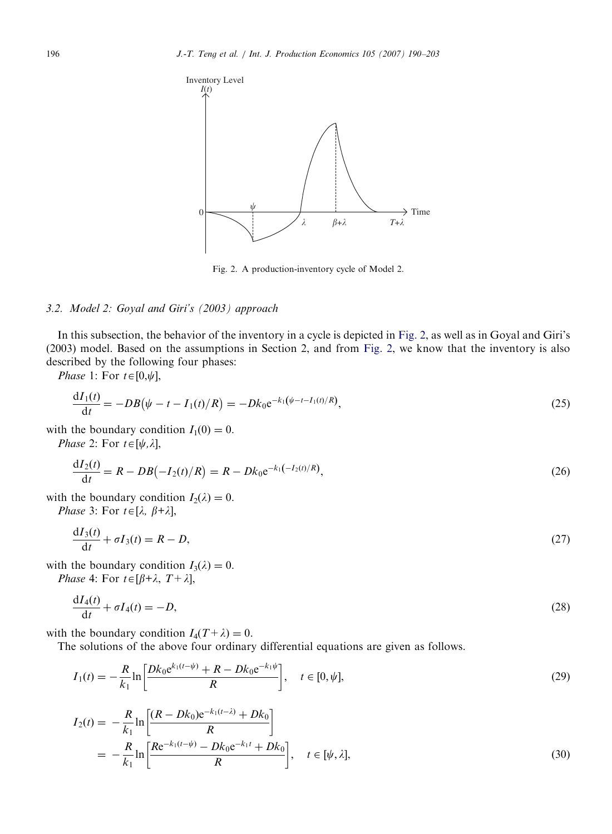

Fig. 2. A production-inventory cycle of Model 2.

## 3.2. Model 2: Goyal and Giri's (2003) approach

In this subsection, the behavior of the inventory in a cycle is depicted in Fig. 2, as well as in Goyal and Giri's (2003) model. Based on the assumptions in Section 2, and from Fig. 2, we know that the inventory is also described by the following four phases:

Phase 1: For  $t \in [0,\psi]$ ,

$$
\frac{dI_1(t)}{dt} = -DB(\psi - t - I_1(t)/R) = -Dk_0 e^{-k_1(\psi - t - I_1(t)/R)},
$$
\n(25)

with the boundary condition  $I_1(0) = 0$ .

*Phase* 2: For  $t \in [\psi, \lambda]$ ,

$$
\frac{dI_2(t)}{dt} = R - DB(-I_2(t)/R) = R - Dk_0 e^{-k_1(-I_2(t)/R)},
$$
\n(26)

with the boundary condition  $I_2(\lambda) = 0$ .

Phase 3: For  $t \in [\lambda, \beta+\lambda]$ ,

$$
\frac{\mathrm{d}I_3(t)}{\mathrm{d}t} + \sigma I_3(t) = R - D,\tag{27}
$$

with the boundary condition  $I_3(\lambda) = 0$ .

Phase 4: For  $t \in [\beta + \lambda, T + \lambda]$ ,

$$
\frac{\mathrm{d}I_4(t)}{\mathrm{d}t} + \sigma I_4(t) = -D,\tag{28}
$$

with the boundary condition  $I_4(T + \lambda) = 0$ .

The solutions of the above four ordinary differential equations are given as follows.

$$
I_1(t) = -\frac{R}{k_1} \ln \left[ \frac{Dk_0 e^{k_1(t-\psi)} + R - Dk_0 e^{-k_1 \psi}}{R} \right], \quad t \in [0, \psi],
$$
 (29)

$$
I_2(t) = -\frac{R}{k_1} \ln \left[ \frac{(R - Dk_0)e^{-k_1(t-\lambda)} + Dk_0}{R} \right]
$$
  
= 
$$
-\frac{R}{k_1} \ln \left[ \frac{Re^{-k_1(t-\psi)} - Dk_0e^{-k_1t} + Dk_0}{R} \right], \quad t \in [\psi, \lambda],
$$
 (30)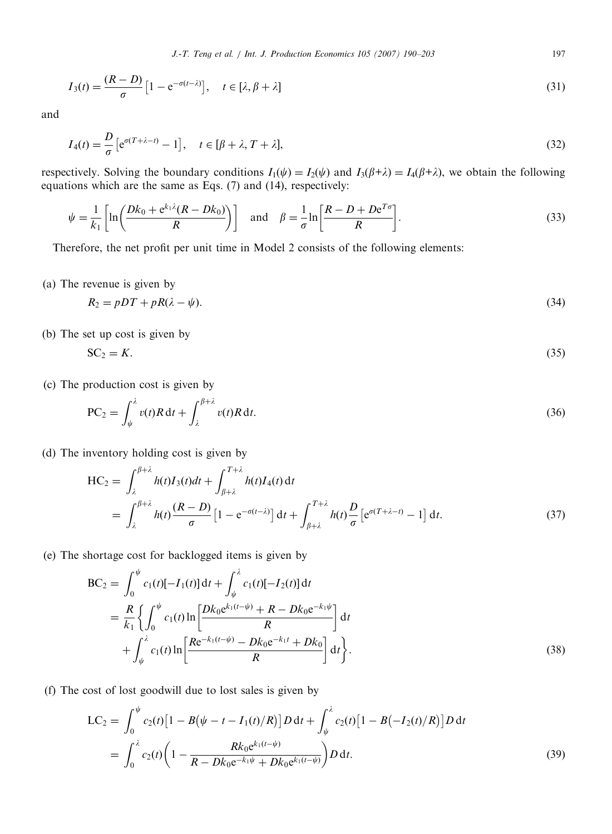$$
I_3(t) = \frac{(R-D)}{\sigma} \left[ 1 - e^{-\sigma(t-\lambda)} \right], \quad t \in [\lambda, \beta + \lambda]
$$
\n(31)

and

$$
I_4(t) = \frac{D}{\sigma} \left[ e^{\sigma (T + \lambda - t)} - 1 \right], \quad t \in [\beta + \lambda, T + \lambda], \tag{32}
$$

respectively. Solving the boundary conditions  $I_1(\psi) = I_2(\psi)$  and  $I_3(\beta + \lambda) = I_4(\beta + \lambda)$ , we obtain the following equations which are the same as Eqs. (7) and (14), respectively:

$$
\psi = \frac{1}{k_1} \left[ \ln \left( \frac{Dk_0 + e^{k_1 \lambda} (R - Dk_0)}{R} \right) \right] \quad \text{and} \quad \beta = \frac{1}{\sigma} \ln \left[ \frac{R - D + D e^{T\sigma}}{R} \right]. \tag{33}
$$

Therefore, the net profit per unit time in Model 2 consists of the following elements:

(a) The revenue is given by

$$
R_2 = pDT + pR(\lambda - \psi). \tag{34}
$$

(b) The set up cost is given by

$$
SC_2 = K. \tag{35}
$$

(c) The production cost is given by

$$
PC_2 = \int_{\psi}^{\lambda} v(t)R dt + \int_{\lambda}^{\beta + \lambda} v(t)R dt.
$$
\n(36)

(d) The inventory holding cost is given by

$$
HC_2 = \int_{\lambda}^{\beta+\lambda} h(t)I_3(t)dt + \int_{\beta+\lambda}^{T+\lambda} h(t)I_4(t) dt
$$
  
= 
$$
\int_{\lambda}^{\beta+\lambda} h(t) \frac{(R-D)}{\sigma} \left[1 - e^{-\sigma(t-\lambda)}\right] dt + \int_{\beta+\lambda}^{T+\lambda} h(t) \frac{D}{\sigma} \left[e^{\sigma(T+\lambda-t)} - 1\right] dt.
$$
 (37)

(e) The shortage cost for backlogged items is given by

$$
BC_{2} = \int_{0}^{\psi} c_{1}(t)[-I_{1}(t)] dt + \int_{\psi}^{\lambda} c_{1}(t)[-I_{2}(t)] dt
$$
  
\n
$$
= \frac{R}{k_{1}} \left\{ \int_{0}^{\psi} c_{1}(t) \ln \left[ \frac{Dk_{0}e^{k_{1}(t-\psi)} + R - Dk_{0}e^{-k_{1}\psi}}{R} \right] dt + \int_{\psi}^{\lambda} c_{1}(t) \ln \left[ \frac{Re^{-k_{1}(t-\psi)} - Dk_{0}e^{-k_{1}t} + Dk_{0}}{R} \right] dt \right\}.
$$
\n(38)

(f) The cost of lost goodwill due to lost sales is given by

$$
LC_{2} = \int_{0}^{\psi} c_{2}(t) \left[ 1 - B(\psi - t - I_{1}(t)/R) \right] D dt + \int_{\psi}^{\lambda} c_{2}(t) \left[ 1 - B(-I_{2}(t)/R) \right] D dt
$$
  
= 
$$
\int_{0}^{\lambda} c_{2}(t) \left( 1 - \frac{R k_{0} e^{k_{1}(t-\psi)}}{R - D k_{0} e^{-k_{1}\psi} + D k_{0} e^{k_{1}(t-\psi)}} \right) D dt.
$$
 (39)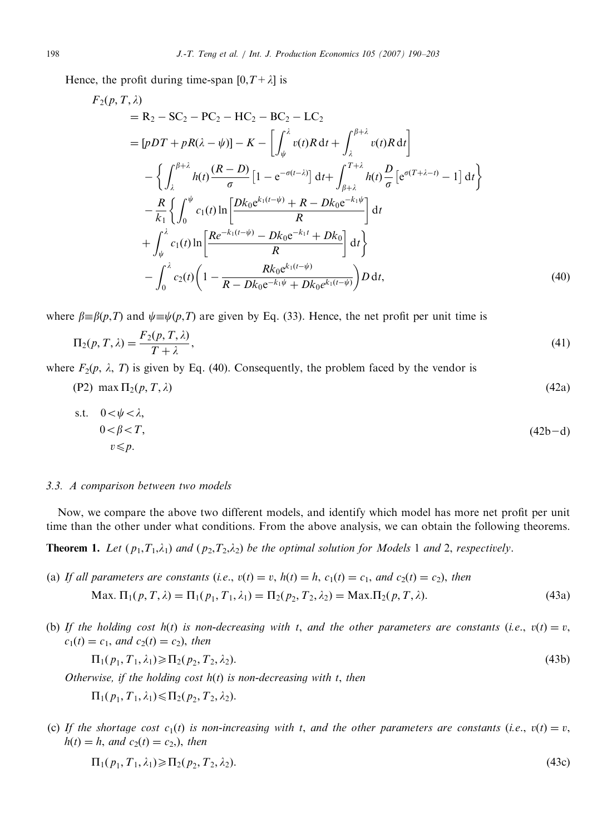Hence, the profit during time-span  $[0, T + \lambda]$  is

$$
F_2(p, T, \lambda)
$$
  
= R<sub>2</sub> - SC<sub>2</sub> - PC<sub>2</sub> - HC<sub>2</sub> - LC<sub>2</sub>  
= [pDT + pR(\lambda - \psi)] - K - \left[ \int\_{\psi}^{\lambda} v(t)R dt + \int\_{\lambda}^{\beta + \lambda} v(t)R dt \right]  
- \left\{ \int\_{\lambda}^{\beta + \lambda} h(t) \frac{(R - D)}{\sigma} \left[ 1 - e^{-\sigma(t - \lambda)} \right] dt + \int\_{\beta + \lambda}^{T + \lambda} h(t) \frac{D}{\sigma} \left[ e^{\sigma(T + \lambda - t)} - 1 \right] dt \right\}  
- \frac{R}{k\_1} \left\{ \int\_0^{\psi} c\_1(t) \ln \left[ \frac{Dk\_0 e^{k\_1(t - \psi)} + R - Dk\_0 e^{-k\_1 \psi}}{R} \right] dt   
+ \int\_{\psi}^{\lambda} c\_1(t) \ln \left[ \frac{Re^{-k\_1(t - \psi)} - Dk\_0 e^{-k\_1 t} + Dk\_0}{R} \right] dt \right\}  
- \int\_0^{\lambda} c\_2(t) \left( 1 - \frac{Rk\_0 e^{k\_1(t - \psi)}}{R - Dk\_0 e^{-k\_1 \psi} + Dk\_0 e^{k\_1(t - \psi)}} \right) D dt,(40)

where  $\beta = \beta(p,T)$  and  $\psi = \psi(p,T)$  are given by Eq. (33). Hence, the net profit per unit time is

$$
\Pi_2(p,T,\lambda) = \frac{F_2(p,T,\lambda)}{T+\lambda},\tag{41}
$$

where  $F_2(p, \lambda, T)$  is given by Eq. (40). Consequently, the problem faced by the vendor is

$$
(P2) \ \max \Pi_2(p, T, \lambda) \tag{42a}
$$

s.t. 
$$
0 < \psi < \lambda
$$
,  
\n $0 < \beta < T$ ,  
\n $v \leq p$ . (42b- $d$ )

#### 3.3. A comparison between two models

Now, we compare the above two different models, and identify which model has more net profit per unit time than the other under what conditions. From the above analysis, we can obtain the following theorems.

**Theorem 1.** Let  $(p_1, T_1, \lambda_1)$  and  $(p_2, T_2, \lambda_2)$  be the optimal solution for Models 1 and 2, respectively.

- (a) If all parameters are constants (i.e.,  $v(t) = v$ ,  $h(t) = h$ ,  $c_1(t) = c_1$ , and  $c_2(t) = c_2$ ), then Max.  $\Pi_1(p, T, \lambda) = \Pi_1(p_1, T_1, \lambda_1) = \Pi_2(p_2, T_2, \lambda_2) = \text{Max.}\Pi_2(p, T, \lambda).$  (43a)
- (b) If the holding cost  $h(t)$  is non-decreasing with t, and the other parameters are constants (i.e.,  $v(t) = v$ ,  $c_1(t) = c_1$ , and  $c_2(t) = c_2$ ), then

$$
\Pi_1(p_1, T_1, \lambda_1) \ge \Pi_2(p_2, T_2, \lambda_2). \tag{43b}
$$

Otherwise, if the holding cost  $h(t)$  is non-decreasing with t, then

 $\Pi_1(p_1, T_1, \lambda_1) \leq \Pi_2(p_2, T_2, \lambda_2).$ 

(c) If the shortage cost  $c_1(t)$  is non-increasing with t, and the other parameters are constants (i.e.,  $v(t) = v$ ,  $h(t) = h$ , and  $c_2(t) = c_2$ , then

$$
\Pi_1(p_1, T_1, \lambda_1) \ge \Pi_2(p_2, T_2, \lambda_2). \tag{43c}
$$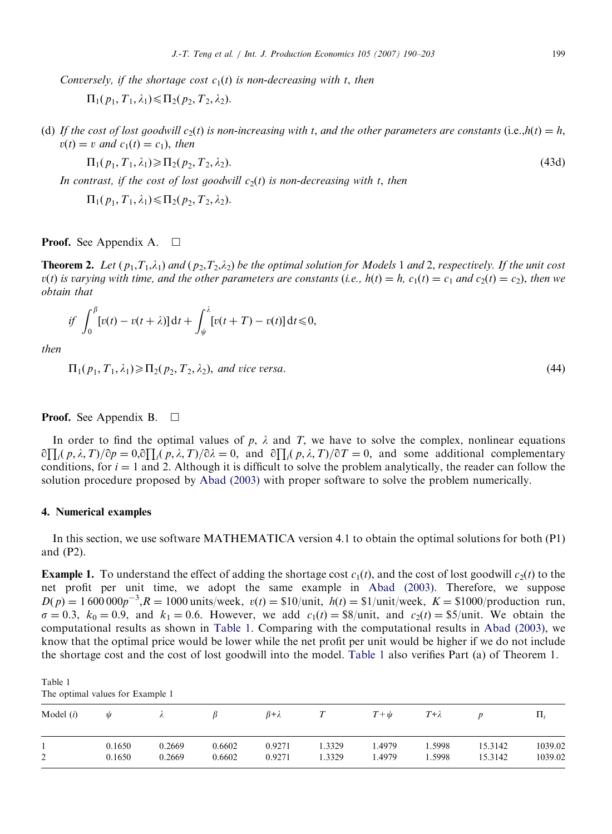Conversely, if the shortage cost  $c_1(t)$  is non-decreasing with t, then

 $\Pi_1(p_1, T_1, \lambda_1) \leq \Pi_2(p_2, T_2, \lambda_2).$ 

(d) If the cost of lost goodwill  $c_2(t)$  is non-increasing with t, and the other parameters are constants (i.e.,  $h(t) = h$ ,  $v(t) = v$  and  $c_1(t) = c_1$ , then

$$
\Pi_1(p_1, T_1, \lambda_1) \ge \Pi_2(p_2, T_2, \lambda_2). \tag{43d}
$$

In contrast, if the cost of lost goodwill  $c_2(t)$  is non-decreasing with t, then

 $\Pi_1(p_1, T_1, \lambda_1) \leqslant \Pi_2(p_2, T_2, \lambda_2).$ 

**Proof.** See Appendix A.  $\Box$ 

**Theorem 2.** Let  $(p_1, T_1, \lambda_1)$  and  $(p_2, T_2, \lambda_2)$  be the optimal solution for Models 1 and 2, respectively. If the unit cost  $v(t)$  is varying with time, and the other parameters are constants (i.e.,  $h(t) = h$ ,  $c_1(t) = c_1$  and  $c_2(t) = c_2$ ), then we obtain that

$$
if \int_0^\beta \left[ v(t) - v(t+\lambda) \right] \mathrm{d}t + \int_\psi^\lambda \left[ v(t+T) - v(t) \right] \mathrm{d}t \leq 0,
$$

then

 $\Pi_1(p_1, T_1, \lambda_1) \ge \Pi_2(p_2, T_2, \lambda_2)$ , and vice versa. (44)

#### **Proof.** See Appendix B.  $\Box$

In order to find the optimal values of p,  $\lambda$  and T, we have to solve the complex, nonlinear equations  $\partial \prod_i (p, \lambda, T)/\partial p = 0, \partial \prod_i (p, \lambda, T)/\partial \lambda = 0$ , and  $\partial \prod_i (p, \lambda, T)/\partial T = 0$ , and some additional complementary conditions, for  $i = 1$  and 2. Although it is difficult to solve the problem analytically, the reader can follow the solution procedure proposed by [Abad \(2003\)](#page-13-0) with proper software to solve the problem numerically.

## 4. Numerical examples

In this section, we use software MATHEMATICA version 4.1 to obtain the optimal solutions for both (P1) and (P2).

**Example 1.** To understand the effect of adding the shortage cost  $c_1(t)$ , and the cost of lost goodwill  $c_2(t)$  to the net profit per unit time, we adopt the same example in [Abad \(2003\)](#page-13-0). Therefore, we suppose  $D(p) = 1600000p^{-3}$ ,  $R = 1000$  units/week,  $v(t) = $10/$ unit,  $h(t) = $1/$ unit/week,  $K = $1000/$ production run,  $\sigma = 0.3$ ,  $k_0 = 0.9$ , and  $k_1 = 0.6$ . However, we add  $c_1(t) = \frac{8}{9}$ unit, and  $c_2(t) = \frac{85}{10}$ unit. We obtain the computational results as shown in Table 1. Comparing with the computational results in [Abad \(2003\)](#page-13-0), we know that the optimal price would be lower while the net profit per unit would be higher if we do not include the shortage cost and the cost of lost goodwill into the model. Table 1 also verifies Part (a) of Theorem 1.

Table 1 The optimal values for Example 1

| Model $(i)$ | W      |        |        | $\beta + \lambda$ |       | $T+\psi$ | $T{+}\lambda$ |         | $\mathbf{H}$ |
|-------------|--------|--------|--------|-------------------|-------|----------|---------------|---------|--------------|
| ◠           | 0.1650 | 0.2669 | 0.6602 | 0.9271            | .3329 | 4979.،   | . 5998        | 15.3142 | 1039.02      |
| ∸           | 0.1650 | 0.2669 | 0.6602 | 0.9271            | .3329 | .4979    | .5998         | 15.3142 | 1039.02      |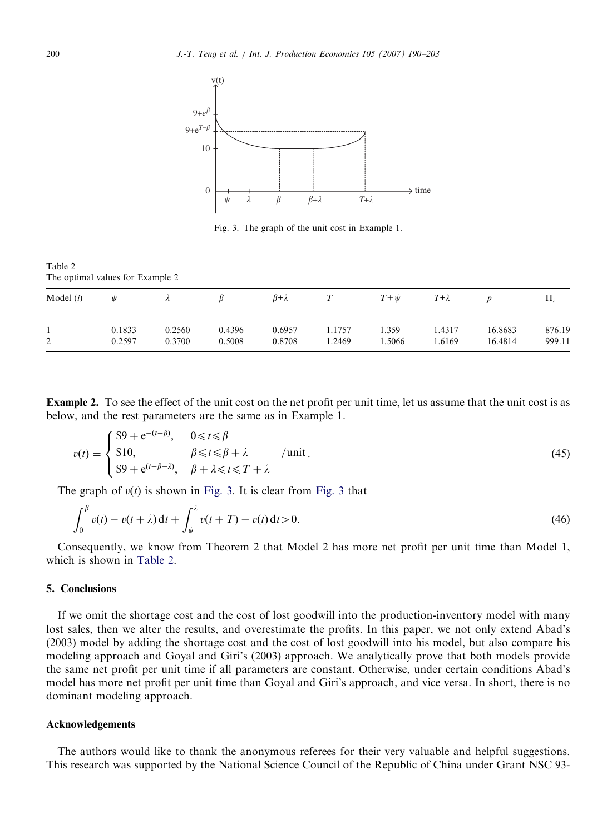

Fig. 3. The graph of the unit cost in Example 1.

Table 2 The optimal values for Example 2

| Model $(i)$ | ψ      | $\overline{\phantom{a}}$ |        | $\beta + \lambda$ |       | $T+\psi$ | $T + \lambda$ |         | $\Pi_i$ |
|-------------|--------|--------------------------|--------|-------------------|-------|----------|---------------|---------|---------|
| ◠           | 0.1833 | 0.2560                   | 0.4396 | 0.6957            | .1757 | . 359    | .4317         | 16.8683 | 876.19  |
| ∸           | 0.2597 | 0.3700                   | 0.5008 | 0.8708            | .2469 | .5066    | 1.6169        | 16.4814 | 999.11  |

Example 2. To see the effect of the unit cost on the net profit per unit time, let us assume that the unit cost is as below, and the rest parameters are the same as in Example 1.

$$
v(t) = \begin{cases} \$9 + e^{-(t-\beta)}, & 0 \leq t \leq \beta \\ \$10, & \beta \leq t \leq \beta + \lambda \\ \$9 + e^{(t-\beta-\lambda)}, & \beta + \lambda \leq t \leq T + \lambda \end{cases} \text{ /unit }.
$$
 (45)

The graph of  $v(t)$  is shown in Fig. 3. It is clear from Fig. 3 that

$$
\int_0^\beta v(t) - v(t + \lambda) dt + \int_\psi^\lambda v(t + T) - v(t) dt > 0.
$$
\n(46)

Consequently, we know from Theorem 2 that Model 2 has more net profit per unit time than Model 1, which is shown in Table 2.

## 5. Conclusions

If we omit the shortage cost and the cost of lost goodwill into the production-inventory model with many lost sales, then we alter the results, and overestimate the profits. In this paper, we not only extend Abad's (2003) model by adding the shortage cost and the cost of lost goodwill into his model, but also compare his modeling approach and Goyal and Giri's (2003) approach. We analytically prove that both models provide the same net profit per unit time if all parameters are constant. Otherwise, under certain conditions Abad's model has more net profit per unit time than Goyal and Giri's approach, and vice versa. In short, there is no dominant modeling approach.

## Acknowledgements

The authors would like to thank the anonymous referees for their very valuable and helpful suggestions. This research was supported by the National Science Council of the Republic of China under Grant NSC 93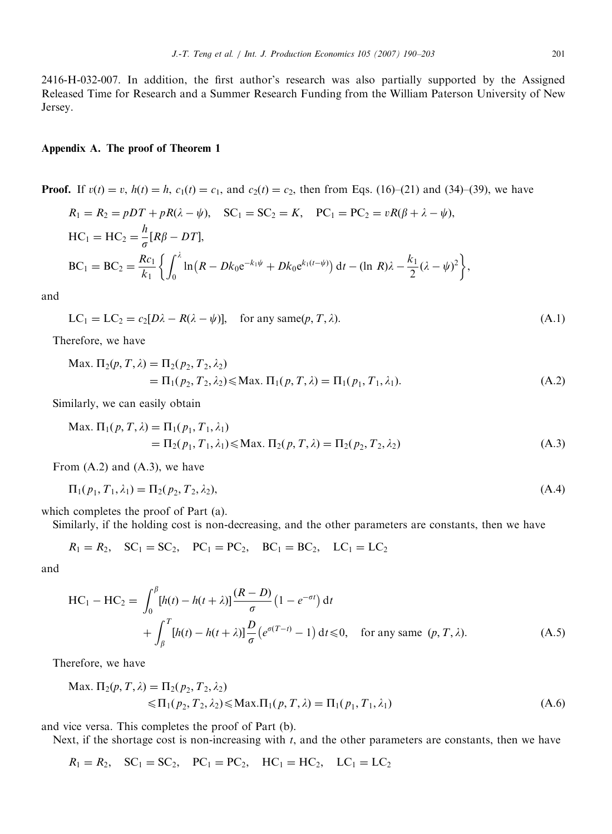2416-H-032-007. In addition, the first author's research was also partially supported by the Assigned Released Time for Research and a Summer Research Funding from the William Paterson University of New Jersey.

#### Appendix A. The proof of Theorem 1

**Proof.** If  $v(t) = v$ ,  $h(t) = h$ ,  $c_1(t) = c_1$ , and  $c_2(t) = c_2$ , then from Eqs. (16)–(21) and (34)–(39), we have

$$
R_1 = R_2 = pDT + pR(\lambda - \psi), \quad SC_1 = SC_2 = K, \quad PC_1 = PC_2 = vR(\beta + \lambda - \psi),
$$
  
\n
$$
HC_1 = HC_2 = \frac{h}{\sigma}[R\beta - DT],
$$
  
\n
$$
BC_1 = BC_2 = \frac{Rc_1}{k_1} \left\{ \int_0^{\lambda} \ln(R - Dk_0 e^{-k_1\psi} + Dk_0 e^{k_1(t-\psi)}) dt - (\ln R)\lambda - \frac{k_1}{2}(\lambda - \psi)^2 \right\},
$$

and

$$
LC_1 = LC_2 = c_2[D\lambda - R(\lambda - \psi)], \text{ for any same}(p, T, \lambda). \tag{A.1}
$$

Therefore, we have

$$
\begin{aligned} \text{Max. } \Pi_2(p, T, \lambda) &= \Pi_2(p_2, T_2, \lambda_2) \\ &= \Pi_1(p_2, T_2, \lambda_2) \le \text{Max. } \Pi_1(p, T, \lambda) = \Pi_1(p_1, T_1, \lambda_1). \end{aligned} \tag{A.2}
$$

Similarly, we can easily obtain

$$
\begin{aligned} \text{Max. } \Pi_1(p, T, \lambda) &= \Pi_1(p_1, T_1, \lambda_1) \\ &= \Pi_2(p_1, T_1, \lambda_1) \le \text{Max. } \Pi_2(p, T, \lambda) = \Pi_2(p_2, T_2, \lambda_2) \end{aligned} \tag{A.3}
$$

From (A.2) and (A.3), we have

$$
\Pi_1(p_1, T_1, \lambda_1) = \Pi_2(p_2, T_2, \lambda_2),\tag{A.4}
$$

which completes the proof of Part (a).

Similarly, if the holding cost is non-decreasing, and the other parameters are constants, then we have

$$
R_1 = R_2, \quad SC_1 = SC_2, \quad PC_1 = PC_2, \quad BC_1 = BC_2, \quad LC_1 = LC_2
$$

and

$$
\begin{split} \text{HC}_1 - \text{HC}_2 &= \int_0^\beta [h(t) - h(t + \lambda)] \frac{(R - D)}{\sigma} \left( 1 - e^{-\sigma t} \right) \text{d}t \\ &+ \int_\beta^T [h(t) - h(t + \lambda)] \frac{D}{\sigma} \left( e^{\sigma(T - t)} - 1 \right) \text{d}t \le 0, \quad \text{for any same } (p, T, \lambda). \end{split} \tag{A.5}
$$

Therefore, we have

$$
\begin{aligned} \text{Max. } \Pi_2(p, T, \lambda) &= \Pi_2(p_2, T_2, \lambda_2) \\ &\leqslant \Pi_1(p_2, T_2, \lambda_2) \leqslant \text{Max.} \Pi_1(p, T, \lambda) = \Pi_1(p_1, T_1, \lambda_1) \end{aligned} \tag{A.6}
$$

and vice versa. This completes the proof of Part (b).

Next, if the shortage cost is non-increasing with  $t$ , and the other parameters are constants, then we have

 $R_1 = R_2$ ,  $SC_1 = SC_2$ ,  $PC_1 = PC_2$ ,  $HC_1 = HC_2$ ,  $LC_1 = LC_2$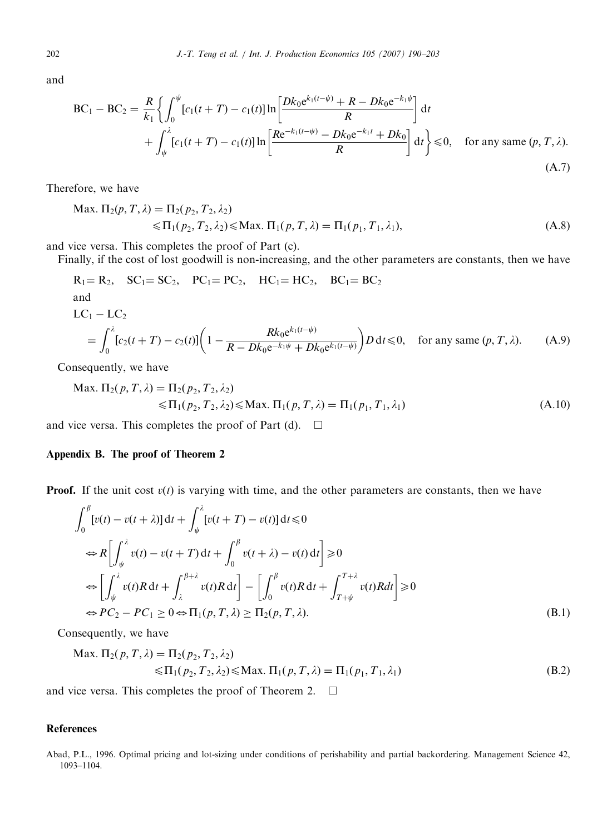and

$$
BC_1 - BC_2 = \frac{R}{k_1} \left\{ \int_0^{\psi} [c_1(t+T) - c_1(t)] \ln \left[ \frac{Dk_0 e^{k_1(t-\psi)} + R - Dk_0 e^{-k_1 \psi}}{R} \right] dt + \int_{\psi}^{\lambda} [c_1(t+T) - c_1(t)] \ln \left[ \frac{Re^{-k_1(t-\psi)} - Dk_0 e^{-k_1 t} + Dk_0}{R} \right] dt \right\} \le 0, \text{ for any same } (p, T, \lambda).
$$
\n(A.7)

Therefore, we have

$$
\begin{aligned} \text{Max. } \Pi_2(p, T, \lambda) &= \Pi_2(p_2, T_2, \lambda_2) \\ &\le \Pi_1(p_2, T_2, \lambda_2) \le \text{Max. } \Pi_1(p, T, \lambda) = \Pi_1(p_1, T_1, \lambda_1), \end{aligned} \tag{A.8}
$$

and vice versa. This completes the proof of Part (c).

Finally, if the cost of lost goodwill is non-increasing, and the other parameters are constants, then we have

$$
R_1 = R_2, \quad SC_1 = SC_2, \quad PC_1 = PC_2, \quad HC_1 = HC_2, \quad BC_1 = BC_2
$$
  
and  

$$
LC_1 - LC_2 = \int_0^{\lambda} [c_2(t+T) - c_2(t)] \left(1 - \frac{Rk_0 e^{k_1(t-\psi)}}{R - Dk_0 e^{-k_1 \psi} + Dk_0 e^{k_1(t-\psi)}}\right) D dt \le 0, \quad \text{for any same } (p, T, \lambda). \tag{A.9}
$$

Consequently, we have

$$
\begin{aligned} \text{Max. } \Pi_2(p, T, \lambda) &= \Pi_2(p_2, T_2, \lambda_2) \\ &\leqslant \Pi_1(p_2, T_2, \lambda_2) \leqslant \text{Max. } \Pi_1(p, T, \lambda) = \Pi_1(p_1, T_1, \lambda_1) \end{aligned} \tag{A.10}
$$

and vice versa. This completes the proof of Part (d).  $\Box$ 

# Appendix B. The proof of Theorem 2

**Proof.** If the unit cost  $v(t)$  is varying with time, and the other parameters are constants, then we have

$$
\int_0^{\beta} [v(t) - v(t + \lambda)] dt + \int_{\psi}^{\lambda} [v(t + T) - v(t)] dt \le 0
$$
  
\n
$$
\Leftrightarrow R \left[ \int_{\psi}^{\lambda} v(t) - v(t + T) dt + \int_0^{\beta} v(t + \lambda) - v(t) dt \right] \ge 0
$$
  
\n
$$
\Leftrightarrow \left[ \int_{\psi}^{\lambda} v(t) R dt + \int_{\lambda}^{\beta + \lambda} v(t) R dt \right] - \left[ \int_0^{\beta} v(t) R dt + \int_{T + \psi}^{T + \lambda} v(t) R dt \right] \ge 0
$$
  
\n
$$
\Leftrightarrow PC_2 - PC_1 \ge 0 \Leftrightarrow \Pi_1(p, T, \lambda) \ge \Pi_2(p, T, \lambda).
$$
 (B.1)

Consequently, we have

Max. 
$$
\Pi_2(p, T, \lambda) = \Pi_2(p_2, T_2, \lambda_2)
$$
  
\n $\leq \Pi_1(p_2, T_2, \lambda_2) \leq \text{Max. } \Pi_1(p, T, \lambda) = \Pi_1(p_1, T_1, \lambda_1)$  (B.2)

and vice versa. This completes the proof of Theorem 2.  $\Box$ 

## References

<span id="page-12-0"></span>

Abad, P.L., 1996. Optimal pricing and lot-sizing under conditions of perishability and partial backordering. Management Science 42, 1093–1104.